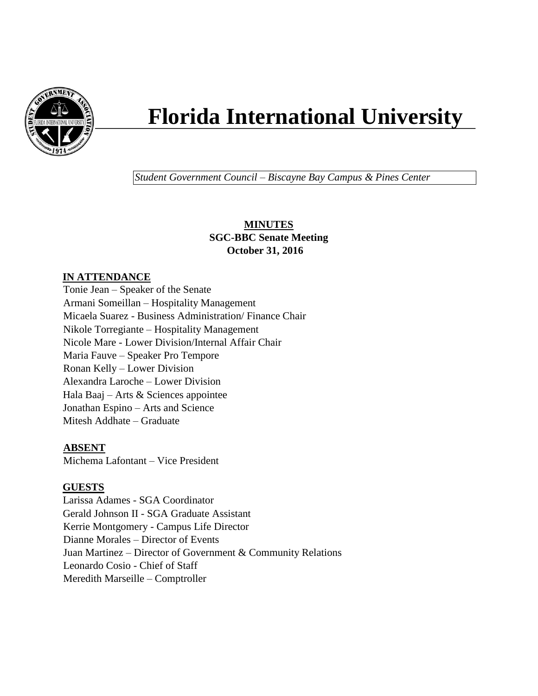

# **Florida International University**

*Student Government Council – Biscayne Bay Campus & Pines Center*

## **MINUTES SGC-BBC Senate Meeting October 31, 2016**

# **IN ATTENDANCE**

Tonie Jean – Speaker of the Senate Armani Someillan – Hospitality Management Micaela Suarez - Business Administration/ Finance Chair Nikole Torregiante – Hospitality Management Nicole Mare - Lower Division/Internal Affair Chair Maria Fauve – Speaker Pro Tempore Ronan Kelly – Lower Division Alexandra Laroche – Lower Division Hala Baaj – Arts & Sciences appointee Jonathan Espino – Arts and Science Mitesh Addhate – Graduate

# **ABSENT**

Michema Lafontant – Vice President

# **GUESTS**

Larissa Adames - SGA Coordinator Gerald Johnson II - SGA Graduate Assistant Kerrie Montgomery - Campus Life Director Dianne Morales – Director of Events Juan Martinez – Director of Government & Community Relations Leonardo Cosio - Chief of Staff Meredith Marseille – Comptroller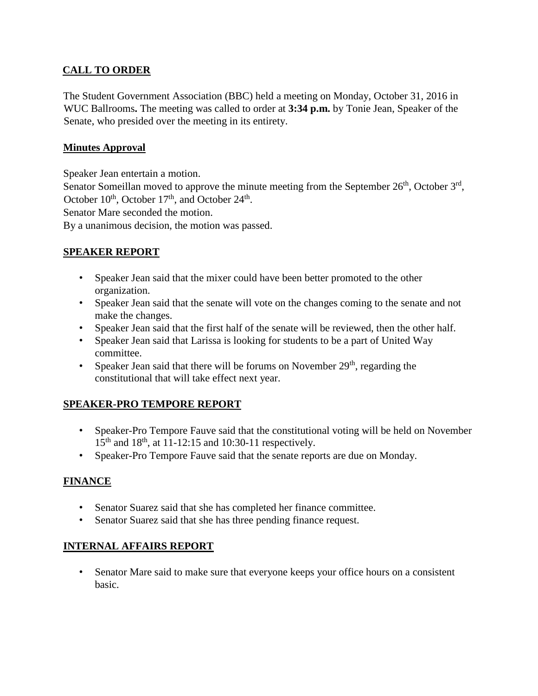# **CALL TO ORDER**

The Student Government Association (BBC) held a meeting on Monday, October 31, 2016 in WUC Ballrooms**.** The meeting was called to order at **3:34 p.m.** by Tonie Jean, Speaker of the Senate, who presided over the meeting in its entirety.

# **Minutes Approval**

Speaker Jean entertain a motion.

Senator Someillan moved to approve the minute meeting from the September  $26<sup>th</sup>$ , October  $3<sup>rd</sup>$ , October  $10^{th}$ , October  $17^{th}$ , and October  $24^{th}$ .

Senator Mare seconded the motion.

By a unanimous decision, the motion was passed.

## **SPEAKER REPORT**

- Speaker Jean said that the mixer could have been better promoted to the other organization.
- Speaker Jean said that the senate will vote on the changes coming to the senate and not make the changes.
- Speaker Jean said that the first half of the senate will be reviewed, then the other half.
- Speaker Jean said that Larissa is looking for students to be a part of United Way committee.
- Speaker Jean said that there will be forums on November  $29<sup>th</sup>$ , regarding the constitutional that will take effect next year.

## **SPEAKER-PRO TEMPORE REPORT**

- Speaker-Pro Tempore Fauve said that the constitutional voting will be held on November  $15^{th}$  and  $18^{th}$ , at 11-12:15 and 10:30-11 respectively.
- Speaker-Pro Tempore Fauve said that the senate reports are due on Monday.

# **FINANCE**

- Senator Suarez said that she has completed her finance committee.
- Senator Suarez said that she has three pending finance request.

## **INTERNAL AFFAIRS REPORT**

• Senator Mare said to make sure that everyone keeps your office hours on a consistent basic.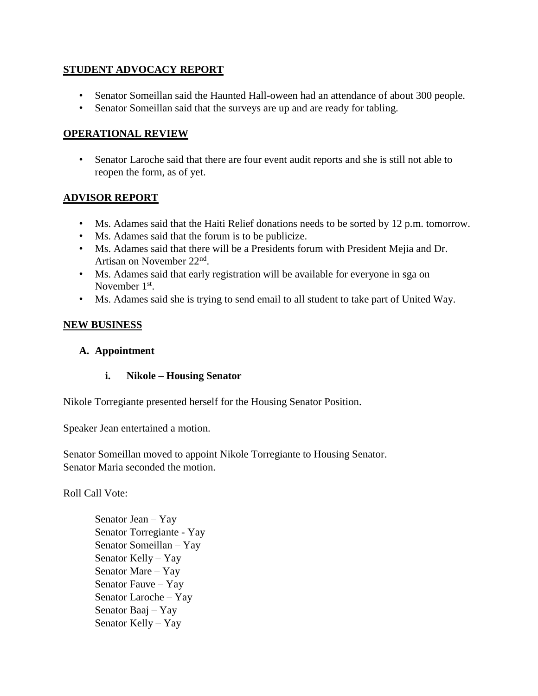## **STUDENT ADVOCACY REPORT**

- Senator Someillan said the Haunted Hall-oween had an attendance of about 300 people.
- Senator Someillan said that the surveys are up and are ready for tabling.

#### **OPERATIONAL REVIEW**

• Senator Laroche said that there are four event audit reports and she is still not able to reopen the form, as of yet.

#### **ADVISOR REPORT**

- Ms. Adames said that the Haiti Relief donations needs to be sorted by 12 p.m. tomorrow.
- Ms. Adames said that the forum is to be publicize.
- Ms. Adames said that there will be a Presidents forum with President Mejia and Dr. Artisan on November 22<sup>nd</sup>.
- Ms. Adames said that early registration will be available for everyone in sga on November 1<sup>st</sup>.
- Ms. Adames said she is trying to send email to all student to take part of United Way.

#### **NEW BUSINESS**

#### **A. Appointment**

#### **i. Nikole – Housing Senator**

Nikole Torregiante presented herself for the Housing Senator Position.

Speaker Jean entertained a motion.

Senator Someillan moved to appoint Nikole Torregiante to Housing Senator. Senator Maria seconded the motion.

Roll Call Vote:

Senator Jean – Yay Senator Torregiante - Yay Senator Someillan – Yay Senator Kelly – Yay Senator Mare – Yay Senator Fauve – Yay Senator Laroche – Yay Senator Baaj – Yay Senator Kelly – Yay